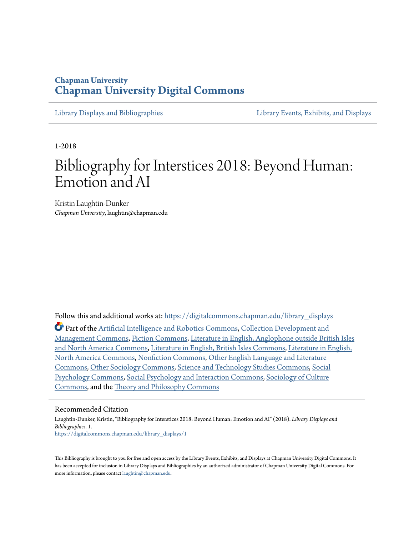## **Chapman University [Chapman University Digital Commons](https://digitalcommons.chapman.edu?utm_source=digitalcommons.chapman.edu%2Flibrary_displays%2F1&utm_medium=PDF&utm_campaign=PDFCoverPages)**

[Library Displays and Bibliographies](https://digitalcommons.chapman.edu/library_displays?utm_source=digitalcommons.chapman.edu%2Flibrary_displays%2F1&utm_medium=PDF&utm_campaign=PDFCoverPages) [Library Events, Exhibits, and Displays](https://digitalcommons.chapman.edu/library_events?utm_source=digitalcommons.chapman.edu%2Flibrary_displays%2F1&utm_medium=PDF&utm_campaign=PDFCoverPages)

1-2018

# Bibliography for Interstices 2018: Beyond Human: Emotion and AI

Kristin Laughtin-Dunker *Chapman University*, laughtin@chapman.edu

Follow this and additional works at: [https://digitalcommons.chapman.edu/library\\_displays](https://digitalcommons.chapman.edu/library_displays?utm_source=digitalcommons.chapman.edu%2Flibrary_displays%2F1&utm_medium=PDF&utm_campaign=PDFCoverPages)

Part of the [Artificial Intelligence and Robotics Commons,](http://network.bepress.com/hgg/discipline/143?utm_source=digitalcommons.chapman.edu%2Flibrary_displays%2F1&utm_medium=PDF&utm_campaign=PDFCoverPages) [Collection Development and](http://network.bepress.com/hgg/discipline/1271?utm_source=digitalcommons.chapman.edu%2Flibrary_displays%2F1&utm_medium=PDF&utm_campaign=PDFCoverPages) [Management Commons](http://network.bepress.com/hgg/discipline/1271?utm_source=digitalcommons.chapman.edu%2Flibrary_displays%2F1&utm_medium=PDF&utm_campaign=PDFCoverPages), [Fiction Commons](http://network.bepress.com/hgg/discipline/1151?utm_source=digitalcommons.chapman.edu%2Flibrary_displays%2F1&utm_medium=PDF&utm_campaign=PDFCoverPages), [Literature in English, Anglophone outside British Isles](http://network.bepress.com/hgg/discipline/457?utm_source=digitalcommons.chapman.edu%2Flibrary_displays%2F1&utm_medium=PDF&utm_campaign=PDFCoverPages) [and North America Commons](http://network.bepress.com/hgg/discipline/457?utm_source=digitalcommons.chapman.edu%2Flibrary_displays%2F1&utm_medium=PDF&utm_campaign=PDFCoverPages), [Literature in English, British Isles Commons,](http://network.bepress.com/hgg/discipline/456?utm_source=digitalcommons.chapman.edu%2Flibrary_displays%2F1&utm_medium=PDF&utm_campaign=PDFCoverPages) [Literature in English,](http://network.bepress.com/hgg/discipline/458?utm_source=digitalcommons.chapman.edu%2Flibrary_displays%2F1&utm_medium=PDF&utm_campaign=PDFCoverPages) [North America Commons](http://network.bepress.com/hgg/discipline/458?utm_source=digitalcommons.chapman.edu%2Flibrary_displays%2F1&utm_medium=PDF&utm_campaign=PDFCoverPages), [Nonfiction Commons,](http://network.bepress.com/hgg/discipline/1152?utm_source=digitalcommons.chapman.edu%2Flibrary_displays%2F1&utm_medium=PDF&utm_campaign=PDFCoverPages) [Other English Language and Literature](http://network.bepress.com/hgg/discipline/462?utm_source=digitalcommons.chapman.edu%2Flibrary_displays%2F1&utm_medium=PDF&utm_campaign=PDFCoverPages) [Commons,](http://network.bepress.com/hgg/discipline/462?utm_source=digitalcommons.chapman.edu%2Flibrary_displays%2F1&utm_medium=PDF&utm_campaign=PDFCoverPages) [Other Sociology Commons,](http://network.bepress.com/hgg/discipline/434?utm_source=digitalcommons.chapman.edu%2Flibrary_displays%2F1&utm_medium=PDF&utm_campaign=PDFCoverPages) [Science and Technology Studies Commons](http://network.bepress.com/hgg/discipline/435?utm_source=digitalcommons.chapman.edu%2Flibrary_displays%2F1&utm_medium=PDF&utm_campaign=PDFCoverPages), [Social](http://network.bepress.com/hgg/discipline/414?utm_source=digitalcommons.chapman.edu%2Flibrary_displays%2F1&utm_medium=PDF&utm_campaign=PDFCoverPages) [Psychology Commons,](http://network.bepress.com/hgg/discipline/414?utm_source=digitalcommons.chapman.edu%2Flibrary_displays%2F1&utm_medium=PDF&utm_campaign=PDFCoverPages) [Social Psychology and Interaction Commons](http://network.bepress.com/hgg/discipline/430?utm_source=digitalcommons.chapman.edu%2Flibrary_displays%2F1&utm_medium=PDF&utm_campaign=PDFCoverPages), [Sociology of Culture](http://network.bepress.com/hgg/discipline/431?utm_source=digitalcommons.chapman.edu%2Flibrary_displays%2F1&utm_medium=PDF&utm_campaign=PDFCoverPages) [Commons,](http://network.bepress.com/hgg/discipline/431?utm_source=digitalcommons.chapman.edu%2Flibrary_displays%2F1&utm_medium=PDF&utm_campaign=PDFCoverPages) and the [Theory and Philosophy Commons](http://network.bepress.com/hgg/discipline/1238?utm_source=digitalcommons.chapman.edu%2Flibrary_displays%2F1&utm_medium=PDF&utm_campaign=PDFCoverPages)

### Recommended Citation

Laughtin-Dunker, Kristin, "Bibliography for Interstices 2018: Beyond Human: Emotion and AI" (2018). *Library Displays and Bibliographies*. 1. [https://digitalcommons.chapman.edu/library\\_displays/1](https://digitalcommons.chapman.edu/library_displays/1?utm_source=digitalcommons.chapman.edu%2Flibrary_displays%2F1&utm_medium=PDF&utm_campaign=PDFCoverPages)

This Bibliography is brought to you for free and open access by the Library Events, Exhibits, and Displays at Chapman University Digital Commons. It has been accepted for inclusion in Library Displays and Bibliographies by an authorized administrator of Chapman University Digital Commons. For more information, please contact [laughtin@chapman.edu](mailto:laughtin@chapman.edu).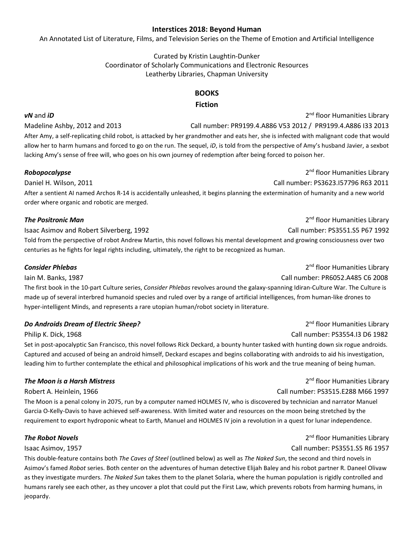### **Interstices 2018: Beyond Human**

An Annotated List of Literature, Films, and Television Series on the Theme of Emotion and Artificial Intelligence

Curated by Kristin Laughtin-Dunker Coordinator of Scholarly Communications and Electronic Resources Leatherby Libraries, Chapman University

## **BOOKS**

## **Fiction**

*vN* and *iD* 2nd floor Humanities Library Madeline Ashby, 2012 and 2013 Call number: PR9199.4.A886 V53 2012 / PR9199.4.A886 I33 2013 After Amy, a self-replicating child robot, is attacked by her grandmother and eats her, she is infected with malignant code that would allow her to harm humans and forced to go on the run. The sequel, *iD*, is told from the perspective of Amy's husband Javier, a sexbot lacking Amy's sense of free will, who goes on his own journey of redemption after being forced to poison her.

Daniel H. Wilson, 2011 Call number: PS3623.I57796 R63 2011

After a sentient AI named Archos R-14 is accidentally unleashed, it begins planning the extermination of humanity and a new world order where organic and robotic are merged.

## **The Positronic Man** *The Positronic Man* **2**nd floor Humanities Library

Isaac Asimov and Robert Silverberg, 1992 Call number: PS3551.S5 P67 1992 Told from the perspective of robot Andrew Martin, this novel follows his mental development and growing consciousness over two centuries as he fights for legal rights including, ultimately, the right to be recognized as human.

### **Consider Phlebas Consider Phlebas 2<sup>nd</sup> floor Humanities Library**

Iain M. Banks, 1987 Call number: PR6052.A485 C6 2008 The first book in the 10-part Culture series, *Consider Phlebas* revolves around the galaxy-spanning Idiran-Culture War. The Culture is made up of several interbred humanoid species and ruled over by a range of artificial intelligences, from human-like drones to hyper-intelligent Minds, and represents a rare utopian human/robot society in literature.

## **Do Androids Dream of Electric Sheep?** 2nd floor Humanities Library

Philip K. Dick, 1968 Call number: PS3554.I3 D6 1982

Set in post-apocalyptic San Francisco, this novel follows Rick Deckard, a bounty hunter tasked with hunting down six rogue androids. Captured and accused of being an android himself, Deckard escapes and begins collaborating with androids to aid his investigation, leading him to further contemplate the ethical and philosophical implications of his work and the true meaning of being human.

The Moon is a penal colony in 2075, run by a computer named HOLMES IV, who is discovered by technician and narrator Manuel Garcia O-Kelly-Davis to have achieved self-awareness. With limited water and resources on the moon being stretched by the requirement to export hydroponic wheat to Earth, Manuel and HOLMES IV join a revolution in a quest for lunar independence.

## **The Robot Novels 2nd floor Humanities Library 2nd floor Humanities Library**

### Isaac Asimov, 1957 Call number: PS3551.S5 R6 1957

This double-feature contains both *The Caves of Steel* (outlined below) as well as *The Naked Sun*, the second and third novels in Asimov's famed *Robot* series. Both center on the adventures of human detective Elijah Baley and his robot partner R. Daneel Olivaw as they investigate murders. *The Naked Sun* takes them to the planet Solaria, where the human population is rigidly controlled and humans rarely see each other, as they uncover a plot that could put the First Law, which prevents robots from harming humans, in jeopardy.

*The Moon is a Harsh Mistress* 2nd floor Humanities Library

Robert A. Heinlein, 1966 Call number: PS3515.E288 M66 1997

**Robopocalypse 2nd floor Humanities Library 2nd floor Humanities Library**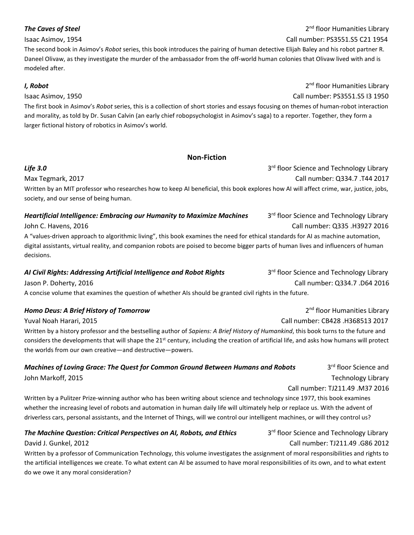The second book in Asimov's *Robot* series, this book introduces the pairing of human detective Elijah Baley and his robot partner R. Daneel Olivaw, as they investigate the murder of the ambassador from the off-world human colonies that Olivaw lived with and is modeled after.

The first book in Asimov's *Robot* series, this is a collection of short stories and essays focusing on themes of human-robot interaction and morality, as told by Dr. Susan Calvin (an early chief robopsychologist in Asimov's saga) to a reporter. Together, they form a larger fictional history of robotics in Asimov's world.

### **Non-Fiction**

Max Tegmark, 2017 Call number: Q334.7 .T44 2017 Written by an MIT professor who researches how to keep AI beneficial, this book explores how AI will affect crime, war, justice, jobs, society, and our sense of being human.

## *Heartificial Intelligence: Embracing our Humanity to Maximize Machines* 3<sup>rd</sup> floor Science and Technology Library John C. Havens, 2016 Call number: Q335 .H3927 2016

A "values-driven approach to algorithmic living", this book examines the need for ethical standards for AI as machine automation, digital assistants, virtual reality, and companion robots are poised to become bigger parts of human lives and influencers of human decisions.

# AI Civil Rights: Addressing Artificial Intelligence and Robot Rights 3<sup>rd</sup> floor Science and Technology Library

A concise volume that examines the question of whether AIs should be granted civil rights in the future.

## *Homo Deus: A Brief History of Tomorrow* 2<sup>nd</sup> floor Humanities Library

Written by a history professor and the bestselling author of *Sapiens: A Brief History of Humankind*, this book turns to the future and considers the developments that will shape the  $21^{st}$  century, including the creation of artificial life, and asks how humans will protect the worlds from our own creative—and destructive—powers.

## *Machines of Loving Grace: The Quest for Common Ground Between Humans and Robots* 3<sup>rd</sup> floor Science and John Markoff, 2015 **Technology Library** Channels and Technology Library Channels and Technology Library Channels and Technology Library

Written by a Pulitzer Prize-winning author who has been writing about science and technology since 1977, this book examines whether the increasing level of robots and automation in human daily life will ultimately help or replace us. With the advent of driverless cars, personal assistants, and the Internet of Things, will we control our intelligent machines, or will they control us?

## **The Machine Question: Critical Perspectives on AI, Robots, and Ethics** 3<sup>rd</sup> floor Science and Technology Library

Written by a professor of Communication Technology, this volume investigates the assignment of moral responsibilities and rights to the artificial intelligences we create. To what extent can AI be assumed to have moral responsibilities of its own, and to what extent do we owe it any moral consideration?

Jason P. Doherty, 2016 Call number: Q334.7 .D64 2016

Call number: TJ211.49 .M37 2016

David J. Gunkel, 2012 Call number: TJ211.49 .G86 2012

Yuval Noah Harari, 2015 Call number: CB428 .H368513 2017

**Life 3.0** 3rd floor Science and Technology Library

*I, Robot* 2<sup>nd</sup> floor Humanities Library Isaac Asimov, 1950 Call number: PS3551.S5 I3 1950

**The Caves of Steel 2<sup>nd</sup> floor Humanities Library** Isaac Asimov, 1954 Call number: PS3551.S5 C21 1954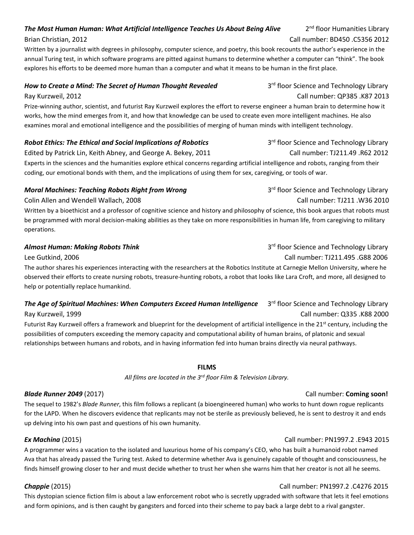## **The Most Human Human: What Artificial Intelligence Teaches Us About Being Alive** 2<sup>nd</sup> floor Humanities Library

## Brian Christian, 2012 Call number: BD450 .C5356 2012

Written by a journalist with degrees in philosophy, computer science, and poetry, this book recounts the author's experience in the annual Turing test, in which software programs are pitted against humans to determine whether a computer can "think". The book explores his efforts to be deemed more human than a computer and what it means to be human in the first place.

## *How to Create a Mind: The Secret of Human Thought Revealed* 3<sup>rd</sup> floor Science and Technology Library

Ray Kurzweil, 2012 Call number: QP385 .K87 2013

Prize-winning author, scientist, and futurist Ray Kurzweil explores the effort to reverse engineer a human brain to determine how it works, how the mind emerges from it, and how that knowledge can be used to create even more intelligent machines. He also examines moral and emotional intelligence and the possibilities of merging of human minds with intelligent technology.

## **Robot Ethics: The Ethical and Social Implications of Robotics** 3<sup>rd</sup> floor Science and Technology Library

Edited by Patrick Lin, Keith Abney, and George A. Bekey, 2011 Call number: TJ211.49 .R62 2012 Experts in the sciences and the humanities explore ethical concerns regarding artificial intelligence and robots, ranging from their coding, our emotional bonds with them, and the implications of using them for sex, caregiving, or tools of war.

## *Moral Machines: Teaching Robots Right from Wrong* 3<sup>rd</sup> 10or Science and Technology Library

Written by a bioethicist and a professor of cognitive science and history and philosophy of science, this book argues that robots must be programmed with moral decision-making abilities as they take on more responsibilities in human life, from caregiving to military operations.

Lee Gutkind, 2006 Call number: TJ211.495 .G88 2006 The author shares his experiences interacting with the researchers at the Robotics Institute at Carnegie Mellon University, where he observed their efforts to create nursing robots, treasure-hunting robots, a robot that looks like Lara Croft, and more, all designed to help or potentially replace humankind.

## The Age of Spiritual Machines: When Computers Exceed Human Intelligence 3rd floor Science and Technology Library Ray Kurzweil, 1999 Call number: Q335 .K88 2000

Futurist Ray Kurzweil offers a framework and blueprint for the development of artificial intelligence in the  $21<sup>st</sup>$  century, including the possibilities of computers exceeding the memory capacity and computational ability of human brains, of platonic and sexual relationships between humans and robots, and in having information fed into human brains directly via neural pathways.

## **FILMS**

*All films are located in the 3rd floor Film & Television Library.*

## *Blade Runner 2049* (2017) Call number: **Coming soon!**

The sequel to 1982's *Blade Runner*, this film follows a replicant (a bioengineered human) who works to hunt down rogue replicants for the LAPD. When he discovers evidence that replicants may not be sterile as previously believed, he is sent to destroy it and ends up delving into his own past and questions of his own humanity.

## *Ex Machina* (2015) Call number: PN1997.2 .E943 2015

A programmer wins a vacation to the isolated and luxurious home of his company's CEO, who has built a humanoid robot named Ava that has already passed the Turing test. Asked to determine whether Ava is genuinely capable of thought and consciousness, he finds himself growing closer to her and must decide whether to trust her when she warns him that her creator is not all he seems.

## *Chappie* (2015) Call number: PN1997.2 .C4276 2015

This dystopian science fiction film is about a law enforcement robot who is secretly upgraded with software that lets it feel emotions and form opinions, and is then caught by gangsters and forced into their scheme to pay back a large debt to a rival gangster.

Colin Allen and Wendell Wallach, 2008 Call number: TJ211 .W36 2010

# **Almost Human: Making Robots Think** 3rd Technology Library 3rd floor Science and Technology Library